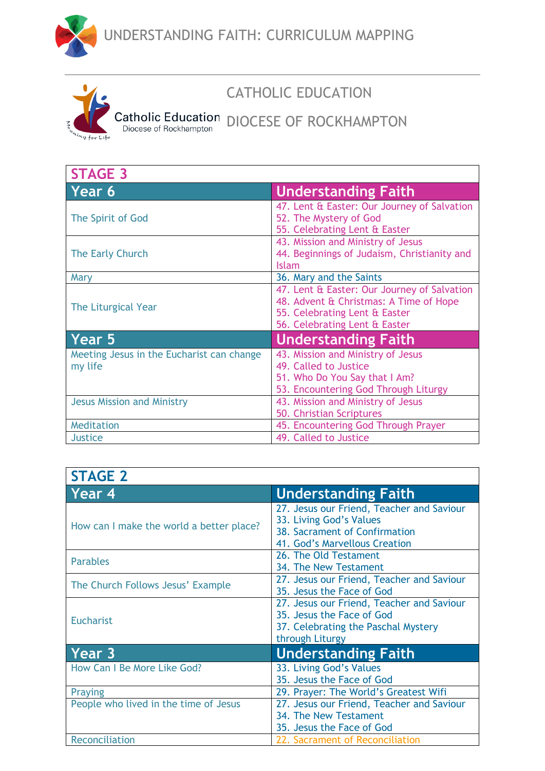





## CATHOLIC EDUCATION

## Catholic Education DIOCESE OF ROCKHAMPTON

| <b>STAGE 3</b>                                       |                                                                                                                                                         |
|------------------------------------------------------|---------------------------------------------------------------------------------------------------------------------------------------------------------|
| Year 6                                               | <b>Understanding Faith</b>                                                                                                                              |
| The Spirit of God                                    | 47. Lent & Easter: Our Journey of Salvation<br>52. The Mystery of God<br>55. Celebrating Lent & Easter                                                  |
| The Early Church                                     | 43. Mission and Ministry of Jesus<br>44. Beginnings of Judaism, Christianity and<br><b>Islam</b>                                                        |
| Mary                                                 | 36. Mary and the Saints                                                                                                                                 |
| The Liturgical Year                                  | 47. Lent & Easter: Our Journey of Salvation<br>48. Advent & Christmas: A Time of Hope<br>55. Celebrating Lent & Easter<br>56. Celebrating Lent & Easter |
| Year 5                                               | <b>Understanding Faith</b>                                                                                                                              |
| Meeting Jesus in the Eucharist can change<br>my life | 43. Mission and Ministry of Jesus<br>49. Called to Justice<br>51. Who Do You Say that I Am?<br>53. Encountering God Through Liturgy                     |
| <b>Jesus Mission and Ministry</b>                    | 43. Mission and Ministry of Jesus<br>50. Christian Scriptures                                                                                           |
| Meditation                                           | 45. Encountering God Through Prayer                                                                                                                     |
| <b>Justice</b>                                       | 49. Called to Justice                                                                                                                                   |

| <b>STAGE 2</b>                           |                                                                                                                                        |
|------------------------------------------|----------------------------------------------------------------------------------------------------------------------------------------|
| Year 4                                   | <b>Understanding Faith</b>                                                                                                             |
| How can I make the world a better place? | 27. Jesus our Friend, Teacher and Saviour<br>33. Living God's Values<br>38. Sacrament of Confirmation<br>41. God's Marvellous Creation |
| <b>Parables</b>                          | 26. The Old Testament<br>34. The New Testament                                                                                         |
| The Church Follows Jesus' Example        | 27. Jesus our Friend, Teacher and Saviour<br>35. Jesus the Face of God                                                                 |
| <b>Eucharist</b>                         | 27. Jesus our Friend, Teacher and Saviour<br>35. Jesus the Face of God<br>37. Celebrating the Paschal Mystery<br>through Liturgy       |
| Year 3                                   | <b>Understanding Faith</b>                                                                                                             |
| How Can I Be More Like God?              | 33. Living God's Values<br>35. Jesus the Face of God                                                                                   |
| Praying                                  | 29. Prayer: The World's Greatest Wifi                                                                                                  |
| People who lived in the time of Jesus    | 27. Jesus our Friend, Teacher and Saviour<br>34. The New Testament                                                                     |
|                                          | 35. Jesus the Face of God                                                                                                              |
| Reconciliation                           | 22. Sacrament of Reconciliation                                                                                                        |